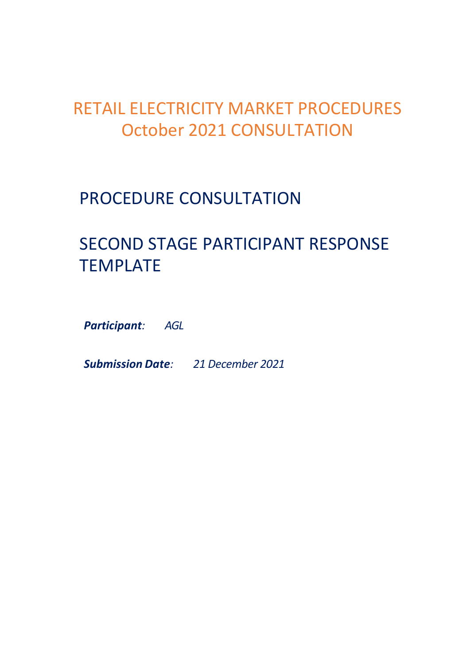## RETAIL ELECTRICITY MARKET PROCEDURES October 2021 CONSULTATION

## PROCEDURE CONSULTATION

# SECOND STAGE PARTICIPANT RESPONSE TEMPLATE

*Participant: AGL*

*Submission Date: 21 December 2021*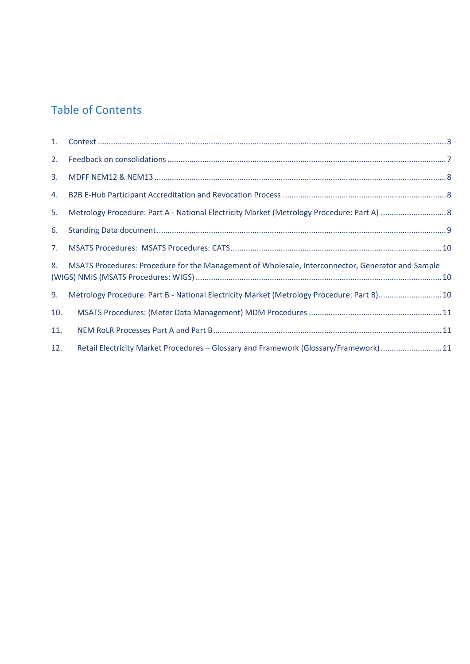#### Table of Contents

| 1.  |                                                                                                   |  |
|-----|---------------------------------------------------------------------------------------------------|--|
| 2.  |                                                                                                   |  |
| 3.  |                                                                                                   |  |
| 4.  |                                                                                                   |  |
| 5.  |                                                                                                   |  |
| 6.  |                                                                                                   |  |
| 7.  |                                                                                                   |  |
| 8.  | MSATS Procedures: Procedure for the Management of Wholesale, Interconnector, Generator and Sample |  |
| 9.  | Metrology Procedure: Part B - National Electricity Market (Metrology Procedure: Part B)10         |  |
| 10. |                                                                                                   |  |
| 11. |                                                                                                   |  |
| 12. | Retail Electricity Market Procedures - Glossary and Framework (Glossary/Framework) 11             |  |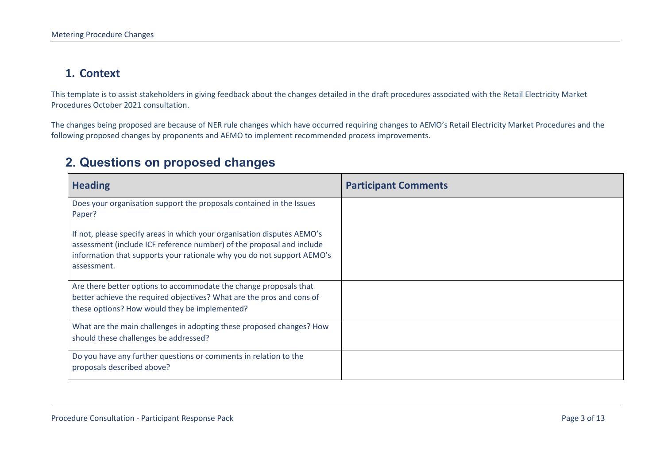#### **1. Context**

This template is to assist stakeholders in giving feedback about the changes detailed in the draft procedures associated with the Retail Electricity Market Procedures October 2021 consultation.

The changes being proposed are because of NER rule changes which have occurred requiring changes to AEMO's Retail Electricity Market Procedures and the following proposed changes by proponents and AEMO to implement recommended process improvements.

#### **2. Questions on proposed changes**

<span id="page-2-0"></span>

| <b>Heading</b>                                                                                                                                                                                                                            | <b>Participant Comments</b> |
|-------------------------------------------------------------------------------------------------------------------------------------------------------------------------------------------------------------------------------------------|-----------------------------|
| Does your organisation support the proposals contained in the Issues<br>Paper?                                                                                                                                                            |                             |
| If not, please specify areas in which your organisation disputes AEMO's<br>assessment (include ICF reference number) of the proposal and include<br>information that supports your rationale why you do not support AEMO's<br>assessment. |                             |
| Are there better options to accommodate the change proposals that<br>better achieve the required objectives? What are the pros and cons of<br>these options? How would they be implemented?                                               |                             |
| What are the main challenges in adopting these proposed changes? How<br>should these challenges be addressed?                                                                                                                             |                             |
| Do you have any further questions or comments in relation to the<br>proposals described above?                                                                                                                                            |                             |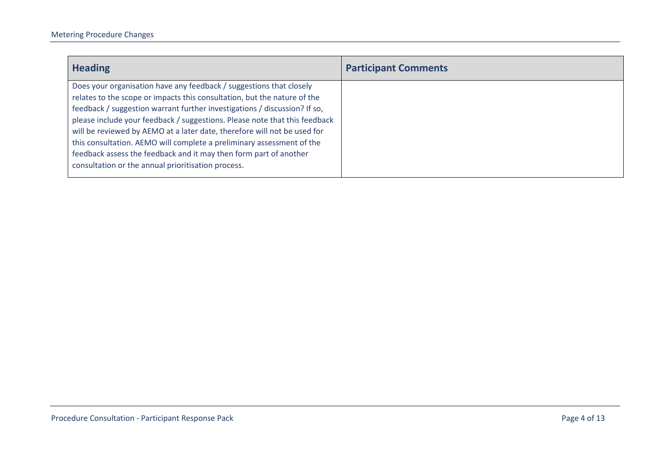| <b>Participant Comments</b> |
|-----------------------------|
|                             |
|                             |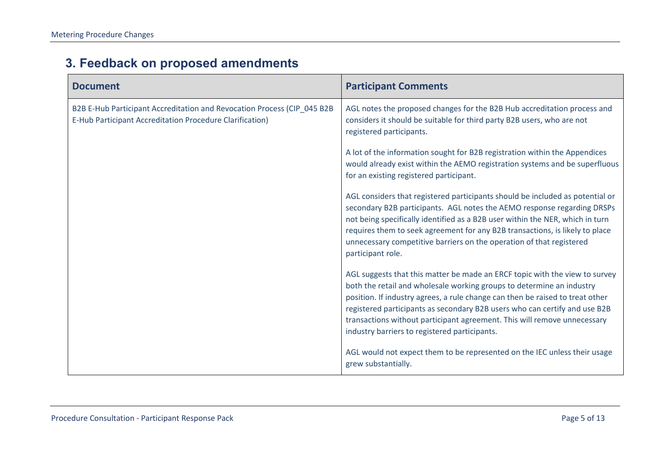| <b>Document</b>                                                                                                                     | <b>Participant Comments</b>                                                                                                                                                                                                                                                                                                                                                                                                                      |
|-------------------------------------------------------------------------------------------------------------------------------------|--------------------------------------------------------------------------------------------------------------------------------------------------------------------------------------------------------------------------------------------------------------------------------------------------------------------------------------------------------------------------------------------------------------------------------------------------|
| B2B E-Hub Participant Accreditation and Revocation Process (CIP_045 B2B<br>E-Hub Participant Accreditation Procedure Clarification) | AGL notes the proposed changes for the B2B Hub accreditation process and<br>considers it should be suitable for third party B2B users, who are not<br>registered participants.                                                                                                                                                                                                                                                                   |
|                                                                                                                                     | A lot of the information sought for B2B registration within the Appendices<br>would already exist within the AEMO registration systems and be superfluous<br>for an existing registered participant.                                                                                                                                                                                                                                             |
|                                                                                                                                     | AGL considers that registered participants should be included as potential or<br>secondary B2B participants. AGL notes the AEMO response regarding DRSPs<br>not being specifically identified as a B2B user within the NER, which in turn<br>requires them to seek agreement for any B2B transactions, is likely to place<br>unnecessary competitive barriers on the operation of that registered<br>participant role.                           |
|                                                                                                                                     | AGL suggests that this matter be made an ERCF topic with the view to survey<br>both the retail and wholesale working groups to determine an industry<br>position. If industry agrees, a rule change can then be raised to treat other<br>registered participants as secondary B2B users who can certify and use B2B<br>transactions without participant agreement. This will remove unnecessary<br>industry barriers to registered participants. |
|                                                                                                                                     | AGL would not expect them to be represented on the IEC unless their usage<br>grew substantially.                                                                                                                                                                                                                                                                                                                                                 |

### **3. Feedback on proposed amendments**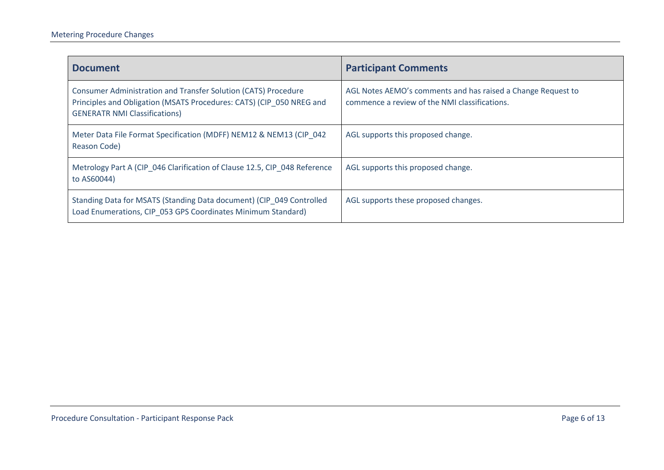<span id="page-5-0"></span>

| <b>Document</b>                                                                                                                                                                | <b>Participant Comments</b>                                                                                   |
|--------------------------------------------------------------------------------------------------------------------------------------------------------------------------------|---------------------------------------------------------------------------------------------------------------|
| Consumer Administration and Transfer Solution (CATS) Procedure<br>Principles and Obligation (MSATS Procedures: CATS) (CIP 050 NREG and<br><b>GENERATR NMI Classifications)</b> | AGL Notes AEMO's comments and has raised a Change Request to<br>commence a review of the NMI classifications. |
| Meter Data File Format Specification (MDFF) NEM12 & NEM13 (CIP 042<br>Reason Code)                                                                                             | AGL supports this proposed change.                                                                            |
| Metrology Part A (CIP 046 Clarification of Clause 12.5, CIP 048 Reference<br>to AS60044)                                                                                       | AGL supports this proposed change.                                                                            |
| Standing Data for MSATS (Standing Data document) (CIP 049 Controlled<br>Load Enumerations, CIP 053 GPS Coordinates Minimum Standard)                                           | AGL supports these proposed changes.                                                                          |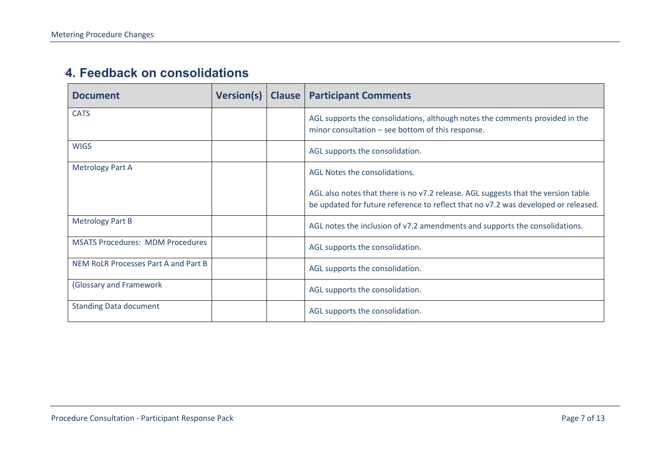#### **4. Feedback on consolidations**

<span id="page-6-0"></span>

| <b>Document</b>                         | <b>Version(s)</b> | <b>Clause</b> | <b>Participant Comments</b>                                                                                                                                             |
|-----------------------------------------|-------------------|---------------|-------------------------------------------------------------------------------------------------------------------------------------------------------------------------|
| <b>CATS</b>                             |                   |               | AGL supports the consolidations, although notes the comments provided in the<br>minor consultation - see bottom of this response.                                       |
| <b>WIGS</b>                             |                   |               | AGL supports the consolidation.                                                                                                                                         |
| <b>Metrology Part A</b>                 |                   |               | AGL Notes the consolidations.                                                                                                                                           |
|                                         |                   |               | AGL also notes that there is no v7.2 release. AGL suggests that the version table<br>be updated for future reference to reflect that no v7.2 was developed or released. |
| <b>Metrology Part B</b>                 |                   |               | AGL notes the inclusion of v7.2 amendments and supports the consolidations.                                                                                             |
| <b>MSATS Procedures: MDM Procedures</b> |                   |               | AGL supports the consolidation.                                                                                                                                         |
| NEM RoLR Processes Part A and Part B    |                   |               | AGL supports the consolidation.                                                                                                                                         |
| (Glossary and Framework                 |                   |               | AGL supports the consolidation.                                                                                                                                         |
| <b>Standing Data document</b>           |                   |               | AGL supports the consolidation.                                                                                                                                         |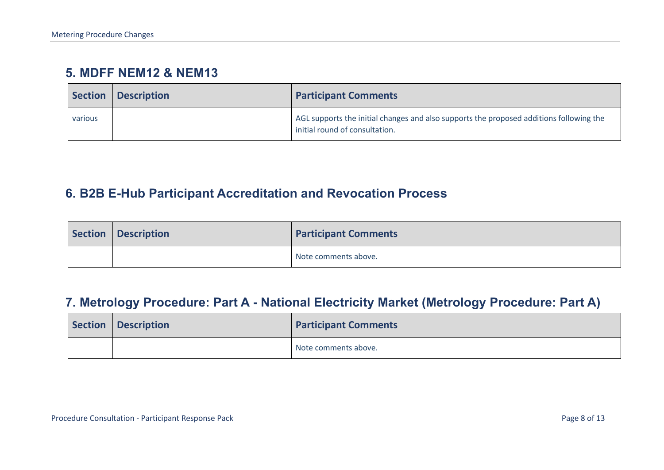#### **5. MDFF NEM12 & NEM13**

| <b>Section</b> | <b>Description</b> | <b>Participant Comments</b>                                                                                               |
|----------------|--------------------|---------------------------------------------------------------------------------------------------------------------------|
| various        |                    | AGL supports the initial changes and also supports the proposed additions following the<br>initial round of consultation. |

#### **6. B2B E-Hub Participant Accreditation and Revocation Process**

| Section   Description | <b>Participant Comments</b> |
|-----------------------|-----------------------------|
|                       | Note comments above.        |

#### **7. Metrology Procedure: Part A - National Electricity Market (Metrology Procedure: Part A)**

<span id="page-7-1"></span><span id="page-7-0"></span>

| Section   Description | <b>Participant Comments</b> |
|-----------------------|-----------------------------|
|                       | Note comments above.        |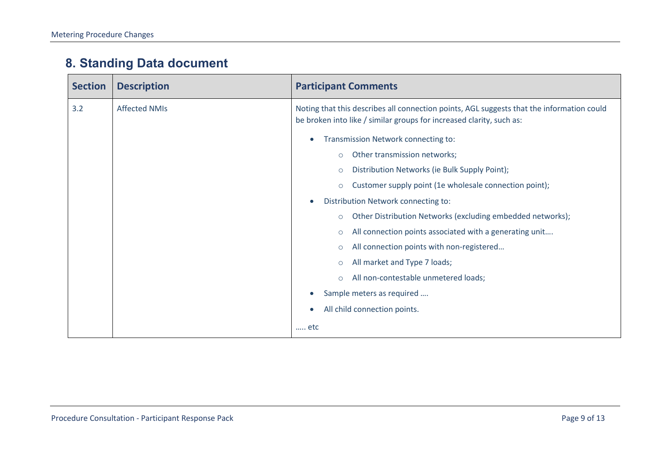### **8. Standing Data document**

<span id="page-8-1"></span><span id="page-8-0"></span>

| <b>Section</b> | <b>Description</b>   | <b>Participant Comments</b>                                                                                                                                       |
|----------------|----------------------|-------------------------------------------------------------------------------------------------------------------------------------------------------------------|
| 3.2            | <b>Affected NMIs</b> | Noting that this describes all connection points, AGL suggests that the information could<br>be broken into like / similar groups for increased clarity, such as: |
|                |                      | Transmission Network connecting to:<br>$\bullet$                                                                                                                  |
|                |                      | Other transmission networks;<br>$\circ$                                                                                                                           |
|                |                      | Distribution Networks (ie Bulk Supply Point);<br>$\circ$                                                                                                          |
|                |                      | Customer supply point (1e wholesale connection point);<br>$\circ$                                                                                                 |
|                |                      | Distribution Network connecting to:<br>$\bullet$                                                                                                                  |
|                |                      | Other Distribution Networks (excluding embedded networks);<br>$\circ$                                                                                             |
|                |                      | All connection points associated with a generating unit<br>$\circ$                                                                                                |
|                |                      | All connection points with non-registered<br>$\circ$                                                                                                              |
|                |                      | All market and Type 7 loads;<br>$\circ$                                                                                                                           |
|                |                      | All non-contestable unmetered loads;<br>$\circ$                                                                                                                   |
|                |                      | Sample meters as required<br>$\bullet$                                                                                                                            |
|                |                      | All child connection points.<br>$\bullet$                                                                                                                         |
|                |                      | etc                                                                                                                                                               |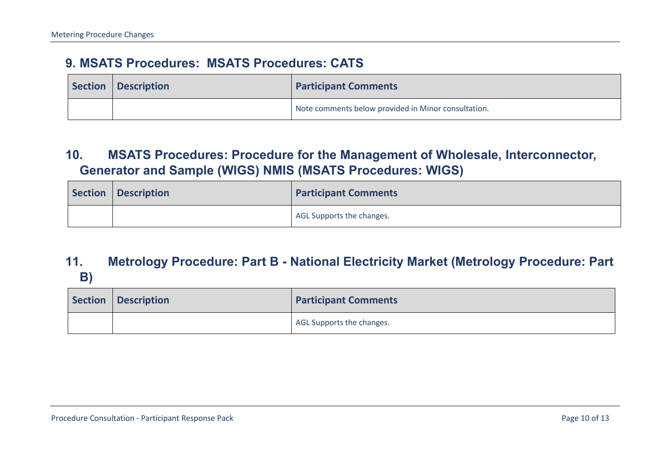#### **9. MSATS Procedures: MSATS Procedures: CATS**

| Section Description | <b>Participant Comments</b>                         |
|---------------------|-----------------------------------------------------|
|                     | Note comments below provided in Minor consultation. |

#### **10. MSATS Procedures: Procedure for the Management of Wholesale, Interconnector, Generator and Sample (WIGS) NMIS (MSATS Procedures: WIGS)**

| Section Description | <b>Participant Comments</b> |
|---------------------|-----------------------------|
|                     | AGL Supports the changes.   |

#### **11. Metrology Procedure: Part B - National Electricity Market (Metrology Procedure: Part B)**

<span id="page-9-2"></span><span id="page-9-1"></span><span id="page-9-0"></span>

| Section   Description | <b>Participant Comments</b> |
|-----------------------|-----------------------------|
|                       | AGL Supports the changes.   |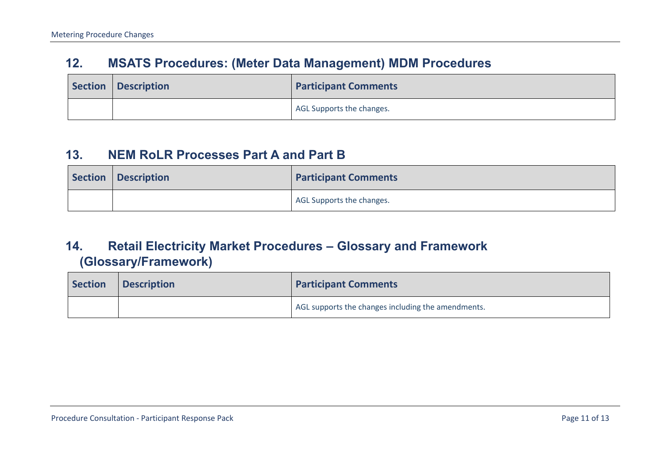#### **12. MSATS Procedures: (Meter Data Management) MDM Procedures**

| Section   Description | <b>Participant Comments</b> |
|-----------------------|-----------------------------|
|                       | AGL Supports the changes.   |

#### **13. NEM RoLR Processes Part A and Part B**

| Section Description | <b>Participant Comments</b> |
|---------------------|-----------------------------|
|                     | AGL Supports the changes.   |

#### **14. Retail Electricity Market Procedures – Glossary and Framework (Glossary/Framework)**

<span id="page-10-1"></span><span id="page-10-0"></span>

| <b>Section</b> | <b>Description</b> | <b>Participant Comments</b>                        |
|----------------|--------------------|----------------------------------------------------|
|                |                    | AGL supports the changes including the amendments. |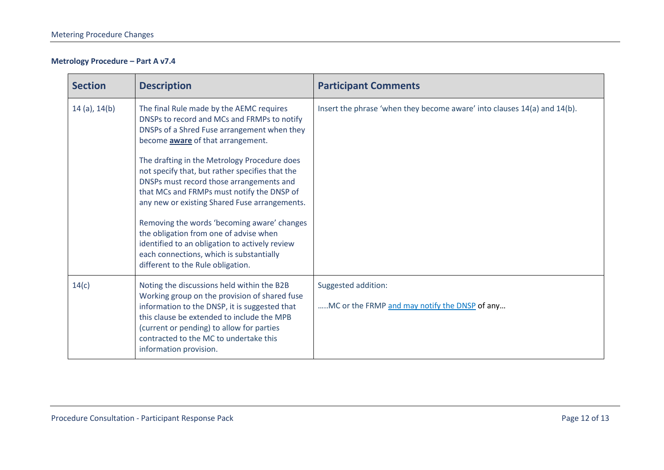#### **Metrology Procedure – Part A v7.4**

| <b>Section</b> | <b>Description</b>                                                                                                                                                                                                                                                                                          | <b>Participant Comments</b>                                              |
|----------------|-------------------------------------------------------------------------------------------------------------------------------------------------------------------------------------------------------------------------------------------------------------------------------------------------------------|--------------------------------------------------------------------------|
| 14 (a), 14(b)  | The final Rule made by the AEMC requires<br>DNSPs to record and MCs and FRMPs to notify<br>DNSPs of a Shred Fuse arrangement when they<br>become aware of that arrangement.                                                                                                                                 | Insert the phrase 'when they become aware' into clauses 14(a) and 14(b). |
|                | The drafting in the Metrology Procedure does<br>not specify that, but rather specifies that the<br>DNSPs must record those arrangements and<br>that MCs and FRMPs must notify the DNSP of<br>any new or existing Shared Fuse arrangements.                                                                  |                                                                          |
|                | Removing the words 'becoming aware' changes<br>the obligation from one of advise when<br>identified to an obligation to actively review<br>each connections, which is substantially<br>different to the Rule obligation.                                                                                    |                                                                          |
| 14(c)          | Noting the discussions held within the B2B<br>Working group on the provision of shared fuse<br>information to the DNSP, it is suggested that<br>this clause be extended to include the MPB<br>(current or pending) to allow for parties<br>contracted to the MC to undertake this<br>information provision. | Suggested addition:<br>MC or the FRMP and may notify the DNSP of any     |